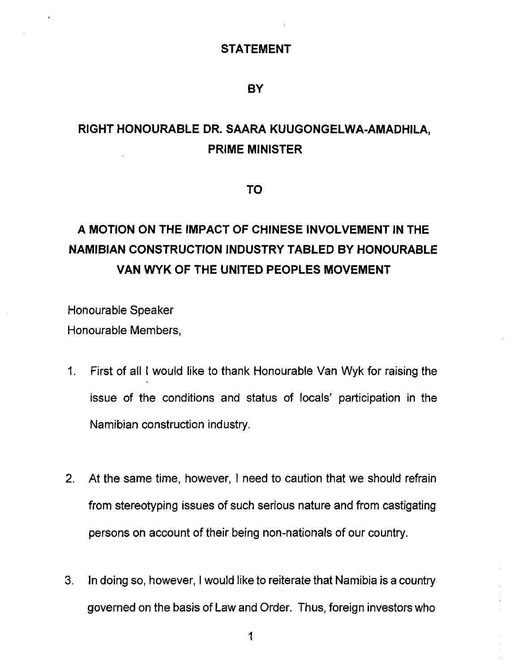### **STATEMENT**

### **BY**

## **RIGHT HONOURABLE DR. SAARA KUUGONGELWA-AMADHILA, PRIME MINISTER**

**TO**

# **A MOTION ON THE IMPACT OF CHINESE INVOLVEMENT IN THE NAMIBIAN CONSTRUCTION INDUSTRY TABLED BY HONOURABLE VAN WYK OF THE UNITED PEOPLES MOVEMENT**

Honourable Speaker Honourable Members,

- 1. First of all I would like to thank Honourable Van Wyk for raising the issue of the conditions and status of locals' participation in the Namibian construction industry.
- 2. At the same time, however, I need to caution that we should refrain from stereotyping issues of such serious nature and from castigating persons on account of their being non-nationals of our country.
- 3. In doing so, however, I would like to reiterate that Namibia is a country governed on the basis of Law and Order. Thus, foreign investors who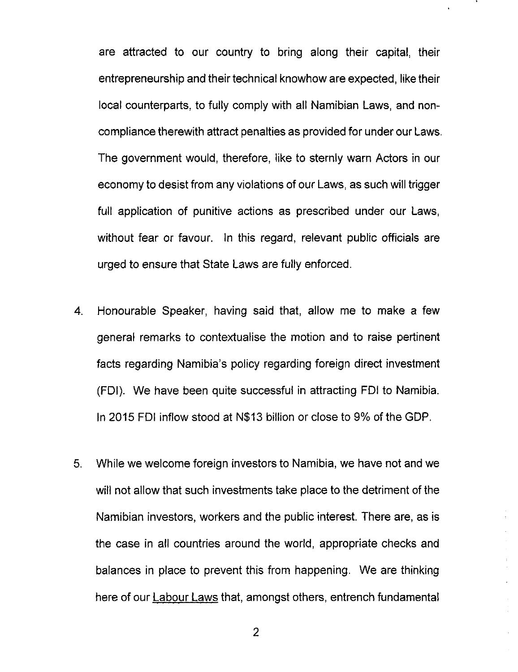are attracted to our country to bring along their capital, their entrepreneurship and their technical knowhow are expected, like their local counterparts, to fully comply with all Namibian Laws, and noncompliance therewith attract penalties as provided for under our Laws. The government would, therefore, like to sternly warn Actors in our economy to desist from any violations of our Laws, as such will trigger full application of punitive actions as prescribed under our Laws, without fear or favour. In this regard, relevant public officials are urged to ensure that State Laws are fully enforced.

- 4. Honourable Speaker, having said that, allow me to make a few general remarks to contextualise the motion and to raise pertinent facts regarding Namibia's policy regarding foreign direct investment (FDI). We have been quite successful in attracting FDI to Namibia. In 2015 FDI inflow stood at N\$13 billion or close to 9% of the GOP.
- 5. While we welcome foreign investors to Namibia, we have not and we will not allow that such investments take place to the detriment of the Namibian investors, workers and the public interest. There are, as is the case in all countries around the world, appropriate checks and balances in place to prevent this from happening. We are thinking here of our Labour Laws that, amongst others, entrench fundamental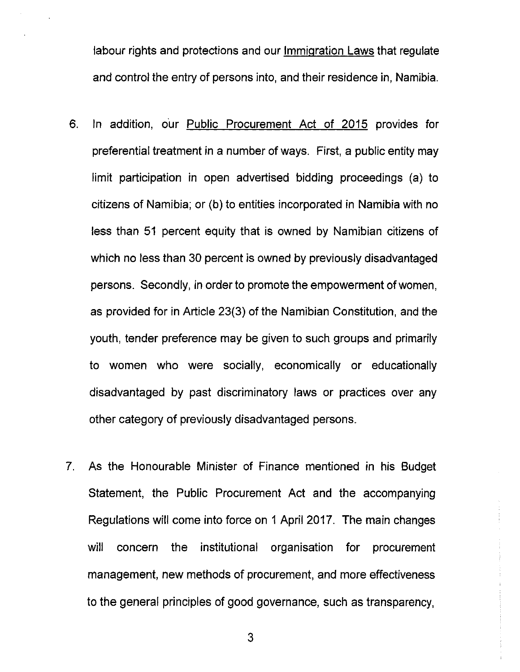labour rights and protections and our Immigration Laws that regulate and control the entry of persons into, and their residence in, Namibia.

- 6. In addition, our Public Procurement Act of 2015 provides for preferential treatment in a number of ways. First, a public entity may limit participation in open advertised bidding proceedings (a) to citizens of Namibia; or (b) to entities incorporated in Namibia with no less than 51 percent equity that is owned by Namibian citizens of which no less than 30 percent is owned by previously disadvantaged persons. Secondly, in order to promote the empowerment of women, as provided for in Article 23(3) of the Namibian Constitution, and the youth, tender preference may be given to such groups and primarily to women who were socially, economically or educationally disadvantaged by past discriminatory laws or practices over any other category of previously disadvantaged persons.
- 7. As the Honourable Minister of Finance mentioned in his Budget Statement, the Public Procurement Act and the accompanying Regulations will come into force on 1 April 2017. The main changes will concern the institutional organisation for procurement management, new methods of procurement, and more effectiveness to the general principles of good governance, such as transparency,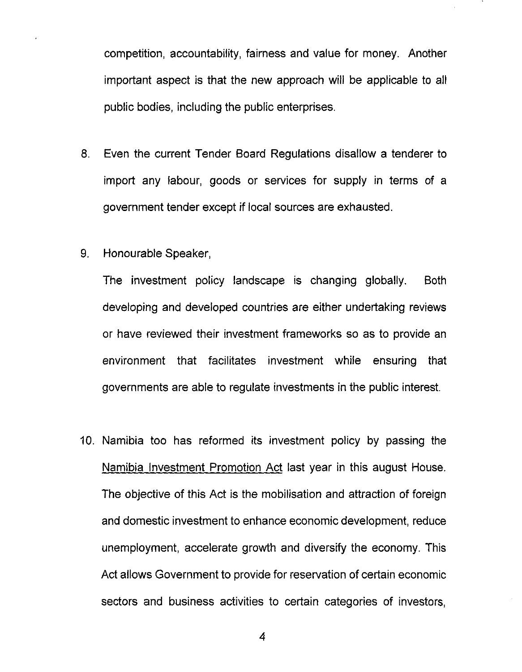competition, accountability, fairness and value for money. Another important aspect is that the new approach will be applicable to all public bodies, including the public enterprises.

- 8. Even the current Tender Board Regulations disallow a tenderer to import any labour, goods or services for supply in terms of a government tender except if local sources are exhausted.
- 9. Honourable Speaker,

The investment policy landscape is changing globally. Both developing and developed countries are either undertaking reviews or have reviewed their investment frameworks so as to provide an environment that facilitates investment while ensuring that governments are able to regulate investments in the public interest.

10. Namibia too has reformed its investment policy by passing the Namibia Investment Promotion Act last year in this august House. The objective of this Act is the mobilisation and attraction of foreign and domestic investment to enhance economic development, reduce unemployment, accelerate growth and diversify the economy. This Act allows Government to provide for reservation of certain economic sectors and business activities to certain categories of investors,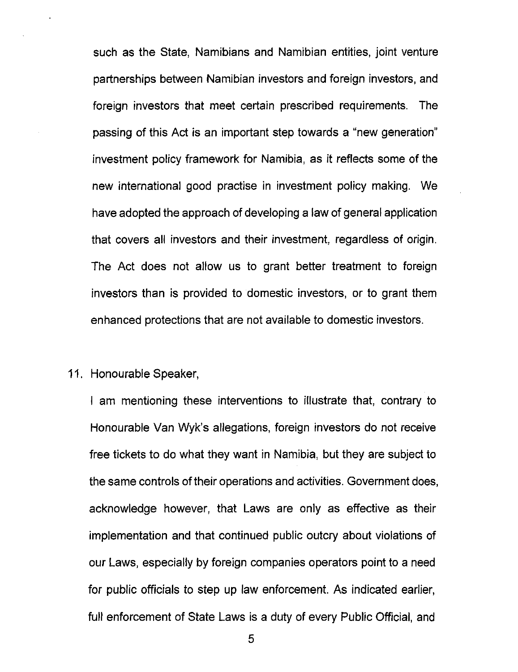such as the State, Namibians and Namibian entities, joint venture partnerships between Namibian investors and foreign investors, and foreign investors that meet certain prescribed requirements. The passing of this Act is an important step towards a "new generation" investment policy framework for Namibia, as it reflects some of the new international good practise in investment policy making. We have adopted the approach of developing a law of general application that covers all investors and their investment, regardless of origin. The Act does not allow us to grant better treatment to foreign investors than is provided to domestic investors, or to grant them enhanced protections that are not available to domestic investors.

### 11. Honourable Speaker,

I am mentioning these interventions to illustrate that, contrary to Honourable Van Wyk's allegations, foreign investors do not receive free tickets to do what they want in Namibia, but they are subject to the same controls of their operations and activities. Government does, acknowledge however, that Laws are only as effective as their implementation and that continued public outcry about violations of our Laws, especially by foreign companies operators point to a need for public officials to step up law enforcement. As indicated earlier, full enforcement of State Laws is a duty of every Public Official, and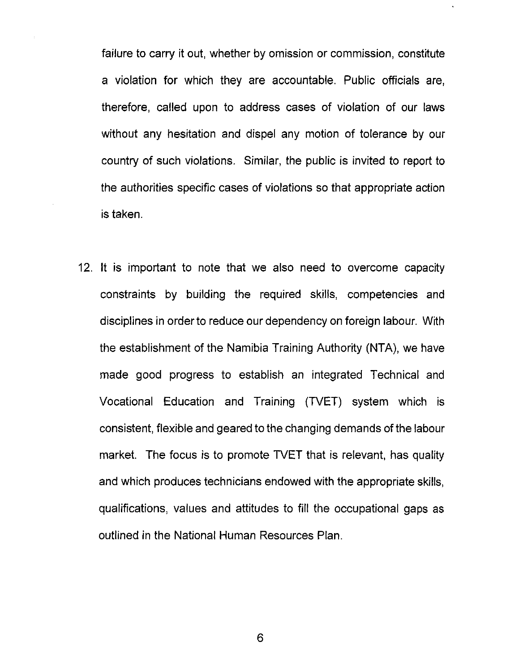failure to carry it out, whether by omission or commission, constitute a violation for which they are accountable. Public officials are, therefore, called upon to address cases of violation of our laws without any hesitation and dispel any motion of tolerance by our country of such violations. Similar, the public is invited to report to the authorities specific cases of violations so that appropriate action is taken.

12. It is important to note that we also need to overcome capacity constraints by building the required skills, competencies and disciplines in order to reduce our dependency on foreign labour. With the establishment of the Namibia Training Authority (NTA), we have made good progress to establish an integrated Technical and Vocational Education and Training (TVET) system which is consistent, flexible and geared to the changing demands of the labour market. The focus is to promote TVET that is relevant, has quality and which produces technicians endowed with the appropriate skills, qualifications, values and attitudes to fill the occupational gaps as outlined in the National Human Resources Plan.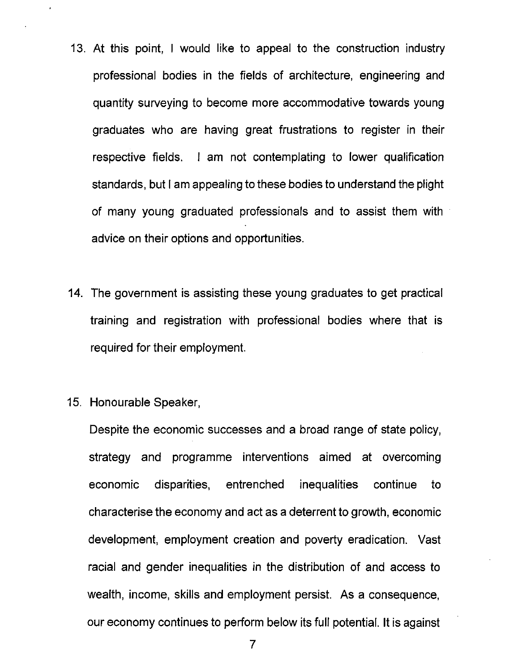- 13. At this point, I would like to appeal to the construction industry professional bodies in the fields of architecture, engineering and quantity surveyinq to become more accommodative towards young graduates who are having great frustrations to register in their respective fields. I am not contemplating to lower qualification standards, but I am appealing to these bodies to understand the plight of many young graduated professionals and to assist them with advice on their options and opportunities.
- 14. The government is assisting these young graduates to get practical training and registration with professional bodies where that is required for their employment.
- 15. Honourable Speaker,

Despite the economic successes and a broad range of state policy, strategy and programme interventions aimed at overcoming economic disparities, entrenched inequalities continue to characterise the economy and act as a deterrent to growth, economic development, employment creation and poverty eradication. Vast racial and gender inequalities in the distribution of and access to wealth, income, skills and employment persist. As a consequence, our economy continues to perform below its full potential. It is against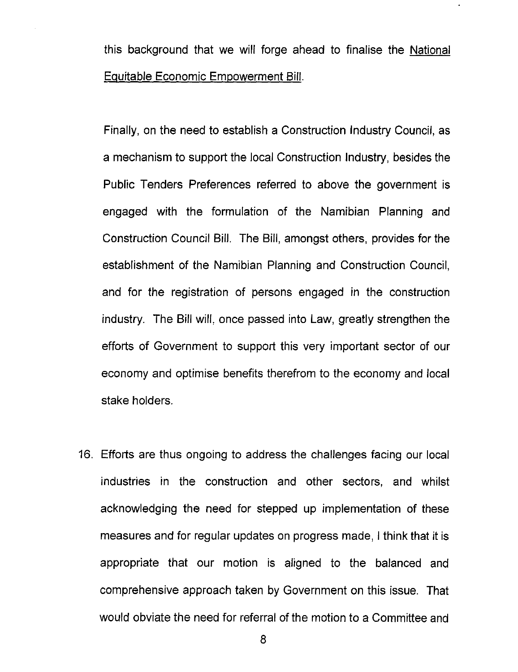this background that we will forge ahead to finalise the National Equitable Economic Empowerment Bill.

Finally, on the need to establish a Construction Industry Council, as a mechanism to support the local Construction Industry, besides the Public Tenders Preferences referred to *above* the government is engaged with the formulation of the Namibian Planning and Construction Council Bill. The Bill, amongst others, provides for the establishment of the Namibian Planning and Construction Council, and for the registration of persons engaged in the construction industry. The Bill will, once passed into Law, greatly strengthen the efforts of Government to support this *very* important sector of our economy and optimise benefits therefrom to the economy and local stake holders.

16. Efforts are thus ongoing to address the challenges facing our local industries in the construction and other sectors, and whilst acknowledging the need for stepped up implementation of these measures and for regular updates on progress made, I think that it is appropriate that our motion is aligned to the balanced and comprehensive approach taken by Government on this issue. That would *obviate* the need for referral of the motion to a Committee and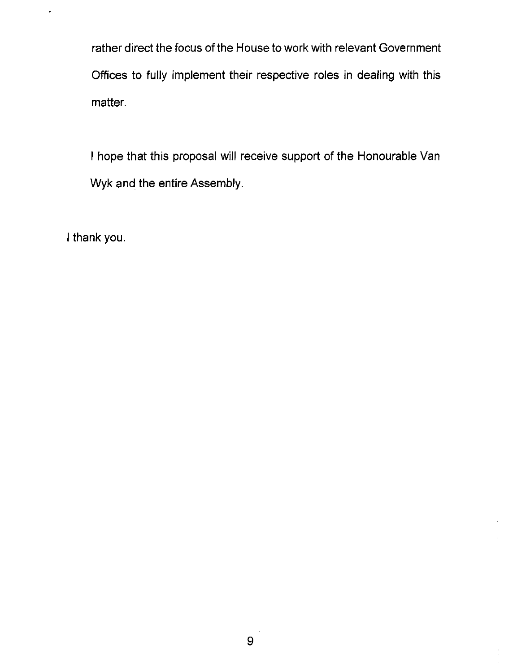rather direct the focus of the House to work with relevant Government Offices to fully implement their respective roles in dealing with this matter.

I hope that this proposal will receive support of the Honourable Van Wyk and the entire Assembly.

I thank you.

 $_{\rm \star}$